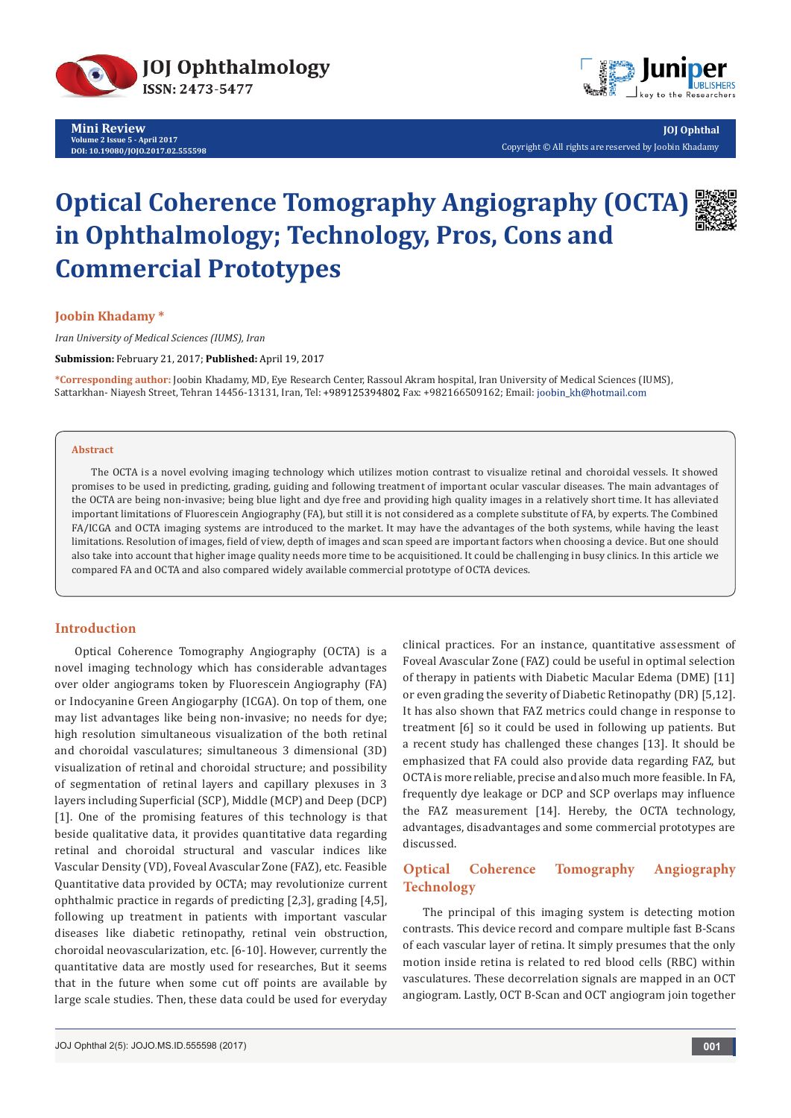

**Mini Review Volume 2 Issue 5 - April 2017 DOI: [10.19080/JOJO.2017.02.555598](http://dx.doi.org/10.19080/JOJO.2017.02.555598
)**



**JOJ Ophthal** Copyright © All rights are reserved by Joobin Khadamy

# **Optical Coherence Tomography Angiography (OCTA) in Ophthalmology; Technology, Pros, Cons and Commercial Prototypes**

**Joobin Khadamy \***

*Iran University of Medical Sciences (IUMS), Iran*

**Submission:** February 21, 2017; **Published:** April 19, 2017

**\*Corresponding author:** Joobin Khadamy, MD, Eye Research Center, Rassoul Akram hospital, Iran University of Medical Sciences (IUMS), Sattarkhan- Niayesh Street, Tehran 14456-13131, Iran, Tel: +989125394802, Fax: +982166509162; Email: joobin\_kh@hotmail.com

#### **Abstract**

The OCTA is a novel evolving imaging technology which utilizes motion contrast to visualize retinal and choroidal vessels. It showed promises to be used in predicting, grading, guiding and following treatment of important ocular vascular diseases. The main advantages of the OCTA are being non-invasive; being blue light and dye free and providing high quality images in a relatively short time. It has alleviated important limitations of Fluorescein Angiography (FA), but still it is not considered as a complete substitute of FA, by experts. The Combined FA/ICGA and OCTA imaging systems are introduced to the market. It may have the advantages of the both systems, while having the least limitations. Resolution of images, field of view, depth of images and scan speed are important factors when choosing a device. But one should also take into account that higher image quality needs more time to be acquisitioned. It could be challenging in busy clinics. In this article we compared FA and OCTA and also compared widely available commercial prototype of OCTA devices.

#### **Introduction**

Optical Coherence Tomography Angiography (OCTA) is a novel imaging technology which has considerable advantages over older angiograms token by Fluorescein Angiography (FA) or Indocyanine Green Angiogarphy (ICGA). On top of them, one may list advantages like being non-invasive; no needs for dye; high resolution simultaneous visualization of the both retinal and choroidal vasculatures; simultaneous 3 dimensional (3D) visualization of retinal and choroidal structure; and possibility of segmentation of retinal layers and capillary plexuses in 3 layers including Superficial (SCP), Middle (MCP) and Deep (DCP) [1]. One of the promising features of this technology is that beside qualitative data, it provides quantitative data regarding retinal and choroidal structural and vascular indices like Vascular Density (VD), Foveal Avascular Zone (FAZ), etc. Feasible Quantitative data provided by OCTA; may revolutionize current ophthalmic practice in regards of predicting [2,3], grading [4,5], following up treatment in patients with important vascular diseases like diabetic retinopathy, retinal vein obstruction, choroidal neovascularization, etc. [6-10]. However, currently the quantitative data are mostly used for researches, But it seems that in the future when some cut off points are available by large scale studies. Then, these data could be used for everyday

clinical practices. For an instance, quantitative assessment of Foveal Avascular Zone (FAZ) could be useful in optimal selection of therapy in patients with Diabetic Macular Edema (DME) [11] or even grading the severity of Diabetic Retinopathy (DR) [5,12]. It has also shown that FAZ metrics could change in response to treatment [6] so it could be used in following up patients. But a recent study has challenged these changes [13]. It should be emphasized that FA could also provide data regarding FAZ, but OCTA is more reliable, precise and also much more feasible. In FA, frequently dye leakage or DCP and SCP overlaps may influence the FAZ measurement [14]. Hereby, the OCTA technology, advantages, disadvantages and some commercial prototypes are discussed.

# **Optical Coherence Tomography Angiography Technology**

The principal of this imaging system is detecting motion contrasts. This device record and compare multiple fast B-Scans of each vascular layer of retina. It simply presumes that the only motion inside retina is related to red blood cells (RBC) within vasculatures. These decorrelation signals are mapped in an OCT angiogram. Lastly, OCT B-Scan and OCT angiogram join together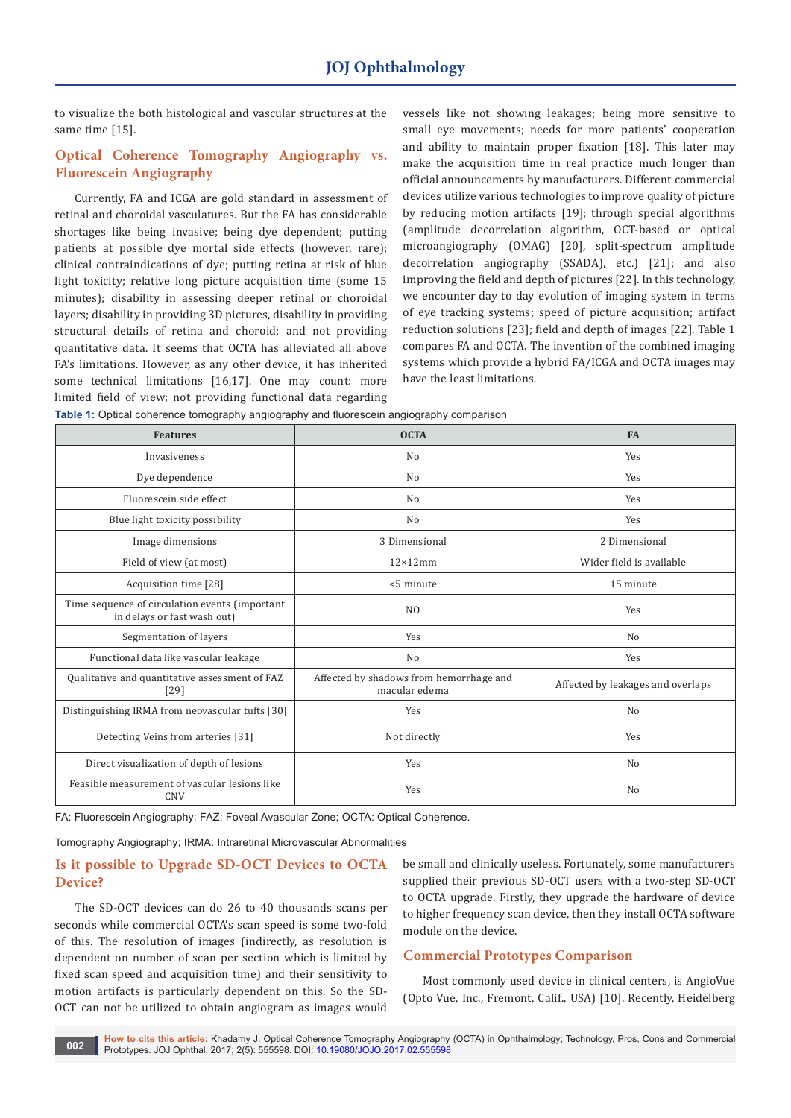to visualize the both histological and vascular structures at the same time [15].

# **Optical Coherence Tomography Angiography vs. Fluorescein Angiography**

Currently, FA and ICGA are gold standard in assessment of retinal and choroidal vasculatures. But the FA has considerable shortages like being invasive; being dye dependent; putting patients at possible dye mortal side effects (however, rare); clinical contraindications of dye; putting retina at risk of blue light toxicity; relative long picture acquisition time (some 15 minutes); disability in assessing deeper retinal or choroidal layers; disability in providing 3D pictures, disability in providing structural details of retina and choroid; and not providing quantitative data. It seems that OCTA has alleviated all above FA's limitations. However, as any other device, it has inherited some technical limitations [16,17]. One may count: more limited field of view; not providing functional data regarding vessels like not showing leakages; being more sensitive to small eye movements; needs for more patients' cooperation and ability to maintain proper fixation [18]. This later may make the acquisition time in real practice much longer than official announcements by manufacturers. Different commercial devices utilize various technologies to improve quality of picture by reducing motion artifacts [19]; through special algorithms (amplitude decorrelation algorithm, OCT-based or optical microangiography (OMAG) [20], split-spectrum amplitude decorrelation angiography (SSADA), etc.) [21]; and also improving the field and depth of pictures [22]. In this technology, we encounter day to day evolution of imaging system in terms of eye tracking systems; speed of picture acquisition; artifact reduction solutions [23]; field and depth of images [22]. Table 1 compares FA and OCTA. The invention of the combined imaging systems which provide a hybrid FA/ICGA and OCTA images may have the least limitations.

| <b>Features</b>                                                               | <b>OCTA</b>                                              | <b>FA</b>                         |  |
|-------------------------------------------------------------------------------|----------------------------------------------------------|-----------------------------------|--|
| Invasiveness                                                                  | N <sub>o</sub>                                           | Yes                               |  |
| Dye dependence                                                                | N <sub>o</sub>                                           | Yes                               |  |
| Fluorescein side effect                                                       | N <sub>o</sub>                                           | Yes                               |  |
| Blue light toxicity possibility                                               | N <sub>o</sub>                                           | Yes                               |  |
| Image dimensions                                                              | 3 Dimensional                                            | 2 Dimensional                     |  |
| Field of view (at most)                                                       | $12\times12$ mm                                          | Wider field is available          |  |
| Acquisition time [28]                                                         | <5 minute                                                | 15 minute                         |  |
| Time sequence of circulation events (important<br>in delays or fast wash out) | N <sub>O</sub>                                           | Yes                               |  |
| Segmentation of layers                                                        | Yes                                                      | N <sub>o</sub>                    |  |
| Functional data like vascular leakage                                         | N <sub>o</sub>                                           | Yes                               |  |
| Qualitative and quantitative assessment of FAZ<br>[29]                        | Affected by shadows from hemorrhage and<br>macular edema | Affected by leakages and overlaps |  |
| Distinguishing IRMA from neovascular tufts [30]                               | Yes                                                      | N <sub>o</sub>                    |  |
| Detecting Veins from arteries [31]                                            | Not directly                                             | Yes                               |  |
| Direct visualization of depth of lesions                                      | Yes                                                      | No                                |  |
| Feasible measurement of vascular lesions like<br><b>CNV</b>                   | Yes<br>N <sub>o</sub>                                    |                                   |  |

|  |  |  |  |  |  | Table 1: Optical coherence tomography angiography and fluorescein angiography comparison |  |
|--|--|--|--|--|--|------------------------------------------------------------------------------------------|--|
|--|--|--|--|--|--|------------------------------------------------------------------------------------------|--|

FA: Fluorescein Angiography; FAZ: Foveal Avascular Zone; OCTA: Optical Coherence.

Tomography Angiography; IRMA: Intraretinal Microvascular Abnormalities

## **Is it possible to Upgrade SD-OCT Devices to OCTA Device?**

The SD-OCT devices can do 26 to 40 thousands scans per seconds while commercial OCTA's scan speed is some two-fold of this. The resolution of images (indirectly, as resolution is dependent on number of scan per section which is limited by fixed scan speed and acquisition time) and their sensitivity to motion artifacts is particularly dependent on this. So the SD-OCT can not be utilized to obtain angiogram as images would

be small and clinically useless. Fortunately, some manufacturers supplied their previous SD-OCT users with a two-step SD-OCT to OCTA upgrade. Firstly, they upgrade the hardware of device to higher frequency scan device, then they install OCTA software module on the device.

#### **Commercial Prototypes Comparison**

Most commonly used device in clinical centers, is AngioVue (Opto Vue, Inc., Fremont, Calif., USA) [10]. Recently, Heidelberg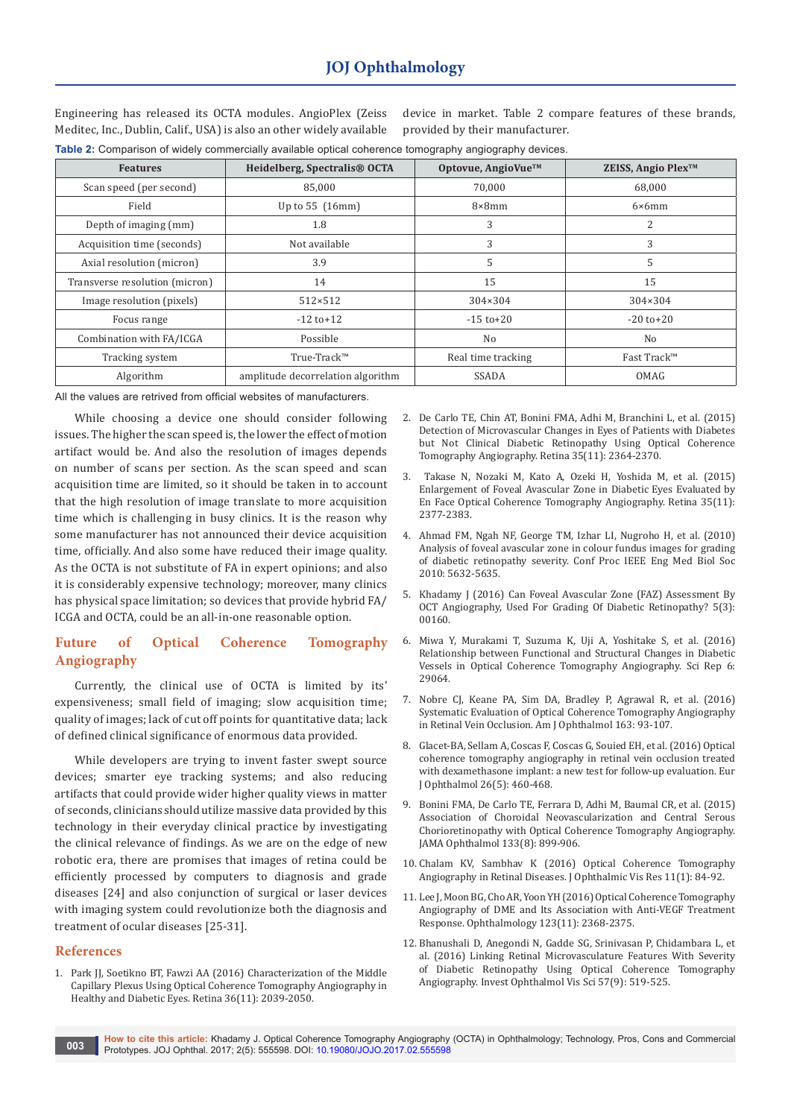Engineering has released its OCTA modules. AngioPlex (Zeiss Meditec, Inc., Dublin, Calif., USA) is also an other widely available

device in market. Table 2 compare features of these brands, provided by their manufacturer.

| Table 2: Comparison of widely commercially available optical coherence tomography angiography devices. |  |  |  |  |  |
|--------------------------------------------------------------------------------------------------------|--|--|--|--|--|
|--------------------------------------------------------------------------------------------------------|--|--|--|--|--|

| <b>Features</b>                | Heidelberg, Spectralis® OCTA      | Optovue, AngioVue™ | ZEISS, Angio Plex <sup>™</sup> |
|--------------------------------|-----------------------------------|--------------------|--------------------------------|
| Scan speed (per second)        | 85,000                            | 70,000             | 68,000                         |
| Field                          | Up to 55 (16mm)                   | $8\times 8$ mm     | $6\times 6$ mm                 |
| Depth of imaging (mm)          | 1.8                               | 3                  | 2                              |
| Acquisition time (seconds)     | Not available                     | 3                  | 3                              |
| Axial resolution (micron)      | 3.9                               | 5                  | 5                              |
| Transverse resolution (micron) | 14                                | 15                 | 15                             |
| Image resolution (pixels)      | $512\times512$                    | 304×304            | 304×304                        |
| Focus range                    | $-12$ to $+12$                    | $-15$ to $+20$     | $-20$ to $+20$                 |
| Combination with FA/ICGA       | Possible                          | No                 | No                             |
| Tracking system                | True-Track™                       | Real time tracking | Fast Track™                    |
| Algorithm                      | amplitude decorrelation algorithm | <b>SSADA</b>       | OMAG                           |

All the values are retrived from official websites of manufacturers.

While choosing a device one should consider following issues. The higher the scan speed is, the lower the effect of motion artifact would be. And also the resolution of images depends on number of scans per section. As the scan speed and scan acquisition time are limited, so it should be taken in to account that the high resolution of image translate to more acquisition time which is challenging in busy clinics. It is the reason why some manufacturer has not announced their device acquisition time, officially. And also some have reduced their image quality. As the OCTA is not substitute of FA in expert opinions; and also it is considerably expensive technology; moreover, many clinics has physical space limitation; so devices that provide hybrid FA/ ICGA and OCTA, could be an all-in-one reasonable option.

# **Future of Optical Coherence Tomography Angiography**

Currently, the clinical use of OCTA is limited by its' expensiveness; small field of imaging; slow acquisition time; quality of images; lack of cut off points for quantitative data; lack of defined clinical significance of enormous data provided.

While developers are trying to invent faster swept source devices; smarter eye tracking systems; and also reducing artifacts that could provide wider higher quality views in matter of seconds, clinicians should utilize massive data provided by this technology in their everyday clinical practice by investigating the clinical relevance of findings. As we are on the edge of new robotic era, there are promises that images of retina could be efficiently processed by computers to diagnosis and grade diseases [24] and also conjunction of surgical or laser devices with imaging system could revolutionize both the diagnosis and treatment of ocular diseases [25-31].

#### **References**

1. Park II, Soetikno BT, Fawzi AA (2016) Characterization of the Middle [Capillary Plexus Using Optical Coherence Tomography Angiography in](https://www.ncbi.nlm.nih.gov/pubmed/27205895)  [Healthy and Diabetic Eyes. Retina 36\(11\): 2039-2050.](https://www.ncbi.nlm.nih.gov/pubmed/27205895)

- 2. [De Carlo TE, Chin AT, Bonini FMA, Adhi M, Branchini L, et al. \(2015\)](https://www.ncbi.nlm.nih.gov/pubmed/26469537)  [Detection of Microvascular Changes in Eyes of Patients with Diabetes](https://www.ncbi.nlm.nih.gov/pubmed/26469537)  [but Not Clinical Diabetic Retinopathy Using Optical Coherence](https://www.ncbi.nlm.nih.gov/pubmed/26469537)  [Tomography Angiography. Retina 35\(11\): 2364-2370.](https://www.ncbi.nlm.nih.gov/pubmed/26469537)
- 3. [Takase N, Nozaki M, Kato A, Ozeki H, Yoshida M, et al. \(2015\)](https://www.ncbi.nlm.nih.gov/pubmed/26457396)  [Enlargement of Foveal Avascular Zone in Diabetic Eyes Evaluated by](https://www.ncbi.nlm.nih.gov/pubmed/26457396)  [En Face Optical Coherence Tomography Angiography. Retina 35\(11\):](https://www.ncbi.nlm.nih.gov/pubmed/26457396)  [2377-2383.](https://www.ncbi.nlm.nih.gov/pubmed/26457396)
- 4. [Ahmad FM, Ngah NF, George TM, Izhar LI, Nugroho H, et al. \(2010\)](https://www.ncbi.nlm.nih.gov/pubmed/21097305)  [Analysis of foveal avascular zone in colour fundus images for grading](https://www.ncbi.nlm.nih.gov/pubmed/21097305)  [of diabetic retinopathy severity. Conf Proc IEEE Eng Med Biol Soc](https://www.ncbi.nlm.nih.gov/pubmed/21097305)  [2010: 5632-5635.](https://www.ncbi.nlm.nih.gov/pubmed/21097305)
- 5. Khadamy J (2016) Can Foveal Avascular Zone (FAZ) Assessment By OCT Angiography, Used For Grading Of Diabetic Retinopathy? 5(3): 00160.
- 6. [Miwa Y, Murakami T, Suzuma K, Uji A, Yoshitake S, et al. \(2016\)](https://www.ncbi.nlm.nih.gov/pubmed/27350562)  [Relationship between Functional and Structural Changes in Diabetic](https://www.ncbi.nlm.nih.gov/pubmed/27350562)  [Vessels in Optical Coherence Tomography Angiography. Sci Rep 6:](https://www.ncbi.nlm.nih.gov/pubmed/27350562)  [29064.](https://www.ncbi.nlm.nih.gov/pubmed/27350562)
- 7. [Nobre CJ, Keane PA, Sim DA, Bradley P, Agrawal R, et al. \(2016\)](https://www.ncbi.nlm.nih.gov/pubmed/26621685)  [Systematic Evaluation of Optical Coherence Tomography Angiography](https://www.ncbi.nlm.nih.gov/pubmed/26621685)  [in Retinal Vein Occlusion. Am J Ophthalmol 163: 93-107.](https://www.ncbi.nlm.nih.gov/pubmed/26621685)
- 8. [Glacet-BA, Sellam A, Coscas F, Coscas G, Souied EH, et al. \(2016\) Optical](https://www.ncbi.nlm.nih.gov/pubmed/27405288)  [coherence tomography angiography in retinal vein occlusion treated](https://www.ncbi.nlm.nih.gov/pubmed/27405288)  [with dexamethasone implant: a new test for follow-up evaluation. Eur](https://www.ncbi.nlm.nih.gov/pubmed/27405288)  [J Ophthalmol 26\(5\): 460-468.](https://www.ncbi.nlm.nih.gov/pubmed/27405288)
- 9. [Bonini FMA, De Carlo TE, Ferrara D, Adhi M, Baumal CR, et al. \(2015\)](https://www.ncbi.nlm.nih.gov/pubmed/25996386)  [Association of Choroidal Neovascularization and Central Serous](https://www.ncbi.nlm.nih.gov/pubmed/25996386)  [Chorioretinopathy with Optical Coherence Tomography Angiography.](https://www.ncbi.nlm.nih.gov/pubmed/25996386)  [JAMA Ophthalmol 133\(8\): 899-906.](https://www.ncbi.nlm.nih.gov/pubmed/25996386)
- 10. [Chalam KV, Sambhav K \(2016\) Optical Coherence Tomography](https://www.ncbi.nlm.nih.gov/pubmed/27195091/)  [Angiography in Retinal Diseases. J Ophthalmic Vis Res 11\(1\): 84-92.](https://www.ncbi.nlm.nih.gov/pubmed/27195091/)
- 11. [Lee J, Moon BG, Cho AR, Yoon YH \(2016\) Optical Coherence Tomography](https://www.ncbi.nlm.nih.gov/pubmed/27613201)  [Angiography of DME and Its Association with Anti-VEGF Treatment](https://www.ncbi.nlm.nih.gov/pubmed/27613201)  [Response. Ophthalmology 123\(11\): 2368-2375.](https://www.ncbi.nlm.nih.gov/pubmed/27613201)
- 12. [Bhanushali D, Anegondi N, Gadde SG, Srinivasan P, Chidambara L, et](https://www.ncbi.nlm.nih.gov/pubmed/27472275)  [al. \(2016\) Linking Retinal Microvasculature Features With Severity](https://www.ncbi.nlm.nih.gov/pubmed/27472275)  [of Diabetic Retinopathy Using Optical Coherence Tomography](https://www.ncbi.nlm.nih.gov/pubmed/27472275)  [Angiography. Invest Ophthalmol Vis Sci 57\(9\): 519-525.](https://www.ncbi.nlm.nih.gov/pubmed/27472275)

**How to cite this article:** Khadamy J. Optical Coherence Tomography Angiography (OCTA) in Ophthalmology; Technology, Pros, Cons and Commercial 003 Prototypes. JOJ Ophthal. 2017; 2(5): 555598. DOI: [10.19080/JOJO.2017.02.555598](http://dx.doi.org/10.19080/JOJO.2017.02.555598
)